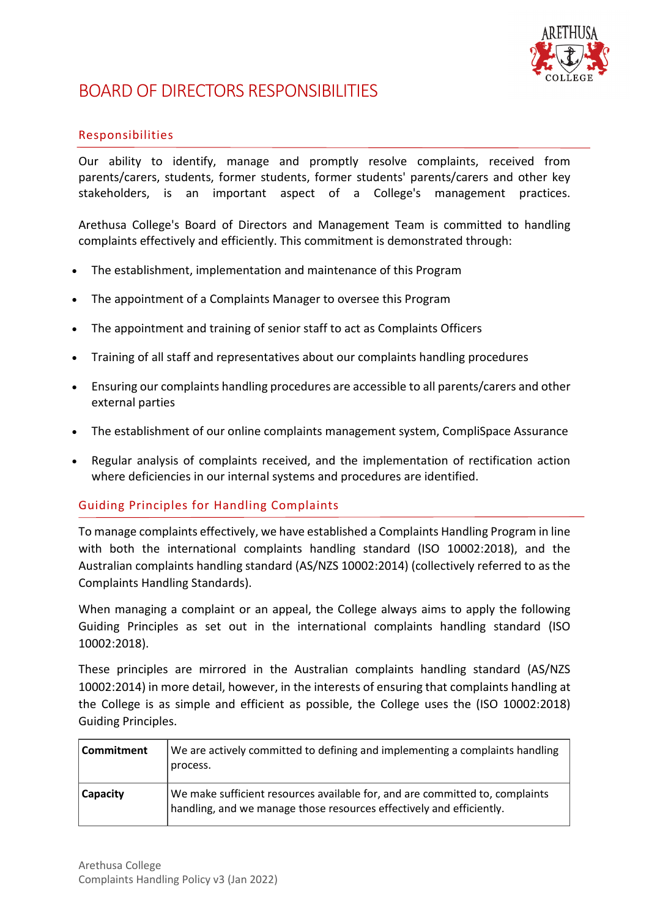

## BOARD OF DIRECTORS RESPONSIBILITIES

## Responsibilities

Our ability to identify, manage and promptly resolve complaints, received from parents/carers, students, former students, former students' parents/carers and other key stakeholders, is an important aspect of a College's management practices.

Arethusa College's Board of Directors and Management Team is committed to handling complaints effectively and efficiently. This commitment is demonstrated through:

- The establishment, implementation and maintenance of this Program
- The appointment of a Complaints Manager to oversee this Program
- The appointment and training of senior staff to act as Complaints Officers
- Training of all staff and representatives about our complaints handling procedures
- Ensuring our complaints handling procedures are accessible to all parents/carers and other external parties
- The establishment of our online complaints management system, CompliSpace Assurance
- Regular analysis of complaints received, and the implementation of rectification action where deficiencies in our internal systems and procedures are identified.

## Guiding Principles for Handling Complaints

To manage complaints effectively, we have established a Complaints Handling Program in line with both the international complaints handling standard (ISO 10002:2018), and the Australian complaints handling standard (AS/NZS 10002:2014) (collectively referred to as the Complaints Handling Standards).

When managing a complaint or an appeal, the College always aims to apply the following Guiding Principles as set out in the international complaints handling standard (ISO 10002:2018).

These principles are mirrored in the Australian complaints handling standard (AS/NZS 10002:2014) in more detail, however, in the interests of ensuring that complaints handling at the College is as simple and efficient as possible, the College uses the (ISO 10002:2018) Guiding Principles.

| Commitment      | We are actively committed to defining and implementing a complaints handling<br>process.                                                             |
|-----------------|------------------------------------------------------------------------------------------------------------------------------------------------------|
| <b>Capacity</b> | We make sufficient resources available for, and are committed to, complaints<br>handling, and we manage those resources effectively and efficiently. |